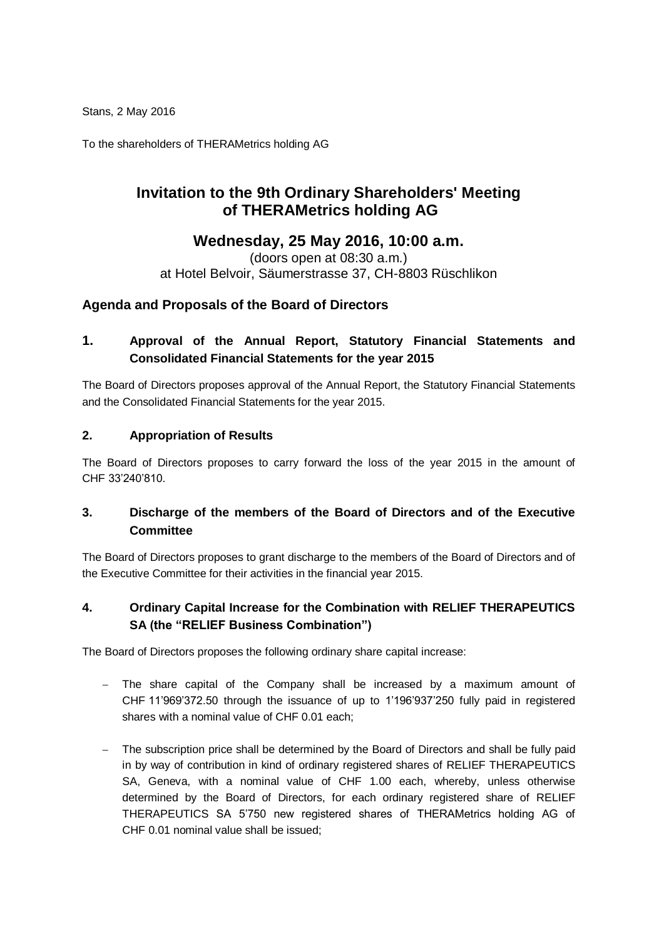Stans, 2 May 2016

To the shareholders of THERAMetrics holding AG

# **Invitation to the 9th Ordinary Shareholders' Meeting of THERAMetrics holding AG**

# **Wednesday, 25 May 2016, 10:00 a.m.**

(doors open at 08:30 a.m.) at Hotel Belvoir, Säumerstrasse 37, CH-8803 Rüschlikon

### **Agenda and Proposals of the Board of Directors**

# **1. Approval of the Annual Report, Statutory Financial Statements and Consolidated Financial Statements for the year 2015**

The Board of Directors proposes approval of the Annual Report, the Statutory Financial Statements and the Consolidated Financial Statements for the year 2015.

### **2. Appropriation of Results**

The Board of Directors proposes to carry forward the loss of the year 2015 in the amount of CHF 33'240'810.

### **3. Discharge of the members of the Board of Directors and of the Executive Committee**

The Board of Directors proposes to grant discharge to the members of the Board of Directors and of the Executive Committee for their activities in the financial year 2015.

### **4. Ordinary Capital Increase for the Combination with RELIEF THERAPEUTICS SA (the "RELIEF Business Combination")**

The Board of Directors proposes the following ordinary share capital increase:

- The share capital of the Company shall be increased by a maximum amount of CHF 11'969'372.50 through the issuance of up to 1'196'937'250 fully paid in registered shares with a nominal value of CHF 0.01 each;
- The subscription price shall be determined by the Board of Directors and shall be fully paid in by way of contribution in kind of ordinary registered shares of RELIEF THERAPEUTICS SA, Geneva, with a nominal value of CHF 1.00 each, whereby, unless otherwise determined by the Board of Directors, for each ordinary registered share of RELIEF THERAPEUTICS SA 5'750 new registered shares of THERAMetrics holding AG of CHF 0.01 nominal value shall be issued;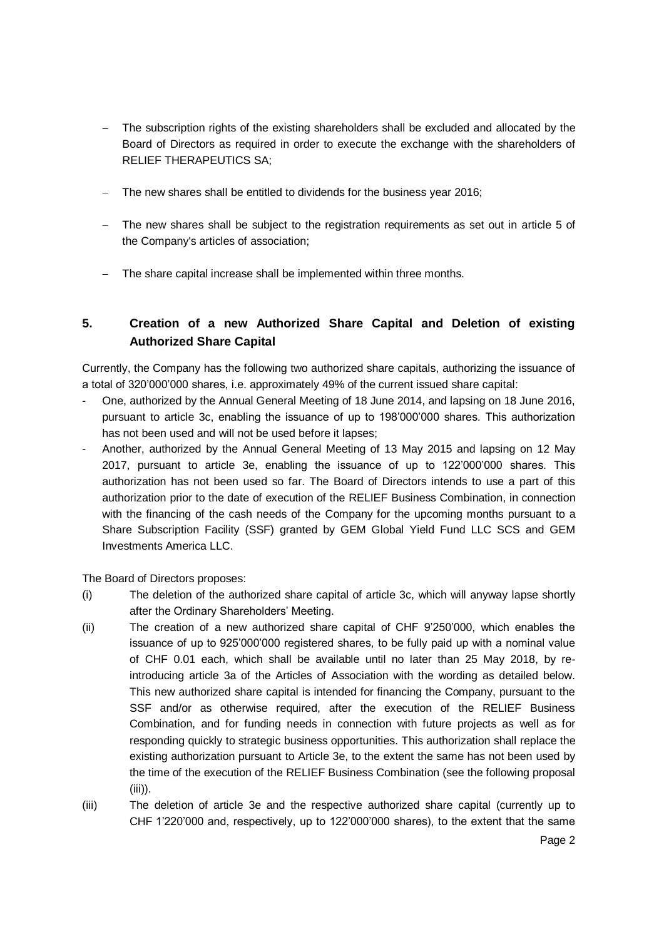- The subscription rights of the existing shareholders shall be excluded and allocated by the Board of Directors as required in order to execute the exchange with the shareholders of RELIEF THERAPEUTICS SA;
- The new shares shall be entitled to dividends for the business year 2016;
- The new shares shall be subject to the registration requirements as set out in article 5 of the Company's articles of association;
- The share capital increase shall be implemented within three months.

# **5. Creation of a new Authorized Share Capital and Deletion of existing Authorized Share Capital**

Currently, the Company has the following two authorized share capitals, authorizing the issuance of a total of 320'000'000 shares, i.e. approximately 49% of the current issued share capital:

- One, authorized by the Annual General Meeting of 18 June 2014, and lapsing on 18 June 2016, pursuant to article 3c, enabling the issuance of up to 198'000'000 shares. This authorization has not been used and will not be used before it lapses;
- Another, authorized by the Annual General Meeting of 13 May 2015 and lapsing on 12 May 2017, pursuant to article 3e, enabling the issuance of up to 122'000'000 shares. This authorization has not been used so far. The Board of Directors intends to use a part of this authorization prior to the date of execution of the RELIEF Business Combination, in connection with the financing of the cash needs of the Company for the upcoming months pursuant to a Share Subscription Facility (SSF) granted by GEM Global Yield Fund LLC SCS and GEM Investments America LLC.

The Board of Directors proposes:

- (i) The deletion of the authorized share capital of article 3c, which will anyway lapse shortly after the Ordinary Shareholders' Meeting.
- (ii) The creation of a new authorized share capital of CHF 9'250'000, which enables the issuance of up to 925'000'000 registered shares, to be fully paid up with a nominal value of CHF 0.01 each, which shall be available until no later than 25 May 2018, by reintroducing article 3a of the Articles of Association with the wording as detailed below. This new authorized share capital is intended for financing the Company, pursuant to the SSF and/or as otherwise required, after the execution of the RELIEF Business Combination, and for funding needs in connection with future projects as well as for responding quickly to strategic business opportunities. This authorization shall replace the existing authorization pursuant to Article 3e, to the extent the same has not been used by the time of the execution of the RELIEF Business Combination (see the following proposal  $(iii)$ ).
- (iii) The deletion of article 3e and the respective authorized share capital (currently up to CHF 1'220'000 and, respectively, up to 122'000'000 shares), to the extent that the same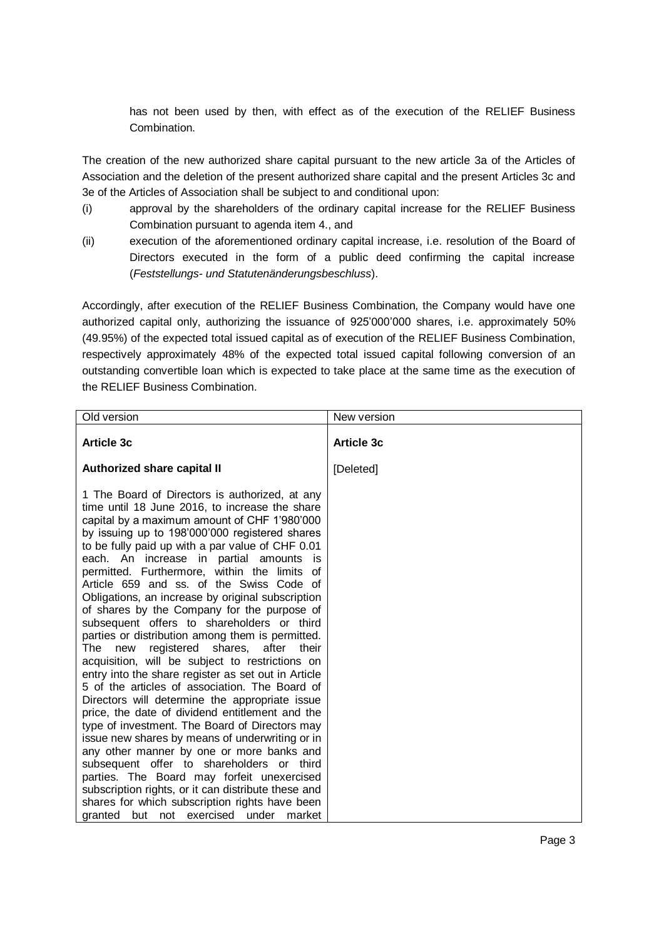has not been used by then, with effect as of the execution of the RELIEF Business Combination.

The creation of the new authorized share capital pursuant to the new article 3a of the Articles of Association and the deletion of the present authorized share capital and the present Articles 3c and 3e of the Articles of Association shall be subject to and conditional upon:

- (i) approval by the shareholders of the ordinary capital increase for the RELIEF Business Combination pursuant to agenda item 4., and
- (ii) execution of the aforementioned ordinary capital increase, i.e. resolution of the Board of Directors executed in the form of a public deed confirming the capital increase (*Feststellungs- und Statutenänderungsbeschluss*).

Accordingly, after execution of the RELIEF Business Combination, the Company would have one authorized capital only, authorizing the issuance of 925'000'000 shares, i.e. approximately 50% (49.95%) of the expected total issued capital as of execution of the RELIEF Business Combination, respectively approximately 48% of the expected total issued capital following conversion of an outstanding convertible loan which is expected to take place at the same time as the execution of the RELIEF Business Combination.

| Old version                                                                                                                                                                                                                                                                                                                                                                                                                                                                                                                                                                                                                                                                                                                                                                                                                                                                                                                                                                                                                                                                                                                                                                                                                                                                                                             | New version       |
|-------------------------------------------------------------------------------------------------------------------------------------------------------------------------------------------------------------------------------------------------------------------------------------------------------------------------------------------------------------------------------------------------------------------------------------------------------------------------------------------------------------------------------------------------------------------------------------------------------------------------------------------------------------------------------------------------------------------------------------------------------------------------------------------------------------------------------------------------------------------------------------------------------------------------------------------------------------------------------------------------------------------------------------------------------------------------------------------------------------------------------------------------------------------------------------------------------------------------------------------------------------------------------------------------------------------------|-------------------|
| <b>Article 3c</b>                                                                                                                                                                                                                                                                                                                                                                                                                                                                                                                                                                                                                                                                                                                                                                                                                                                                                                                                                                                                                                                                                                                                                                                                                                                                                                       | <b>Article 3c</b> |
| <b>Authorized share capital II</b>                                                                                                                                                                                                                                                                                                                                                                                                                                                                                                                                                                                                                                                                                                                                                                                                                                                                                                                                                                                                                                                                                                                                                                                                                                                                                      | [Deleted]         |
| 1 The Board of Directors is authorized, at any<br>time until 18 June 2016, to increase the share<br>capital by a maximum amount of CHF 1'980'000<br>by issuing up to 198'000'000 registered shares<br>to be fully paid up with a par value of CHF 0.01<br>each. An increase in partial amounts is<br>permitted. Furthermore, within the limits of<br>Article 659 and ss. of the Swiss Code of<br>Obligations, an increase by original subscription<br>of shares by the Company for the purpose of<br>subsequent offers to shareholders or third<br>parties or distribution among them is permitted.<br>registered shares, after their<br>The new<br>acquisition, will be subject to restrictions on<br>entry into the share register as set out in Article<br>5 of the articles of association. The Board of<br>Directors will determine the appropriate issue<br>price, the date of dividend entitlement and the<br>type of investment. The Board of Directors may<br>issue new shares by means of underwriting or in<br>any other manner by one or more banks and<br>subsequent offer to shareholders or third<br>parties. The Board may forfeit unexercised<br>subscription rights, or it can distribute these and<br>shares for which subscription rights have been<br>but not exercised under<br>granted<br>market |                   |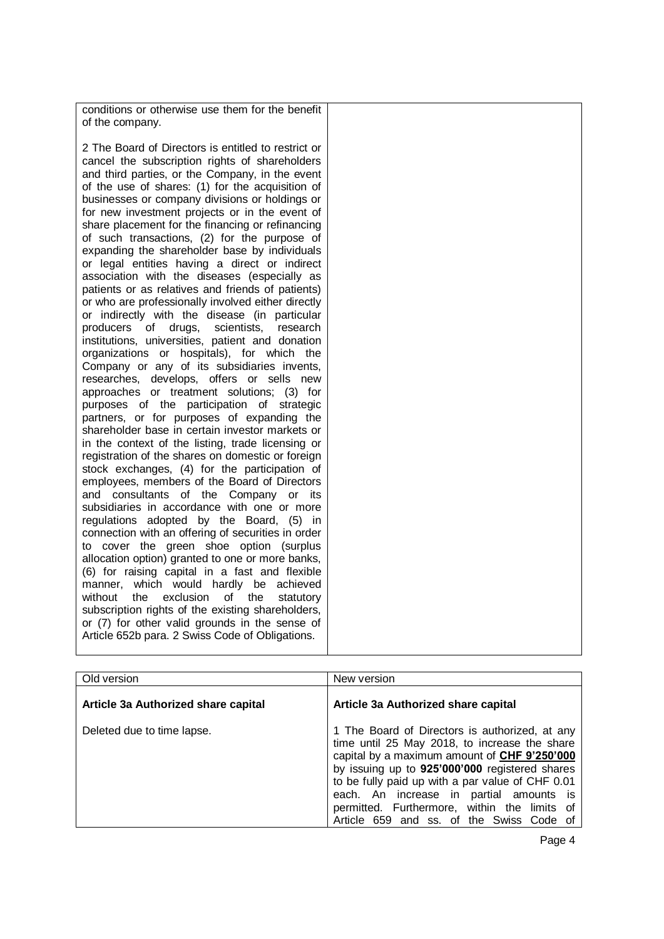| conditions or otherwise use them for the benefit      |  |
|-------------------------------------------------------|--|
| of the company.                                       |  |
|                                                       |  |
|                                                       |  |
| 2 The Board of Directors is entitled to restrict or   |  |
| cancel the subscription rights of shareholders        |  |
|                                                       |  |
| and third parties, or the Company, in the event       |  |
| of the use of shares: (1) for the acquisition of      |  |
| businesses or company divisions or holdings or        |  |
|                                                       |  |
| for new investment projects or in the event of        |  |
| share placement for the financing or refinancing      |  |
|                                                       |  |
| of such transactions, (2) for the purpose of          |  |
| expanding the shareholder base by individuals         |  |
| or legal entities having a direct or indirect         |  |
| association with the diseases (especially as          |  |
|                                                       |  |
| patients or as relatives and friends of patients)     |  |
| or who are professionally involved either directly    |  |
| or indirectly with the disease (in particular         |  |
|                                                       |  |
| drugs,<br>producers<br>0f<br>scientists,<br>research  |  |
| institutions, universities, patient and donation      |  |
| organizations or hospitals), for which the            |  |
|                                                       |  |
| Company or any of its subsidiaries invents,           |  |
| researches, develops, offers or sells new             |  |
| approaches or treatment solutions; (3) for            |  |
| purposes of the participation of strategic            |  |
|                                                       |  |
| partners, or for purposes of expanding the            |  |
| shareholder base in certain investor markets or       |  |
| in the context of the listing, trade licensing or     |  |
| registration of the shares on domestic or foreign     |  |
|                                                       |  |
| stock exchanges, (4) for the participation of         |  |
| employees, members of the Board of Directors          |  |
| and consultants of the Company or its                 |  |
|                                                       |  |
| subsidiaries in accordance with one or more           |  |
| regulations adopted by the Board, (5) in              |  |
| connection with an offering of securities in order    |  |
| to cover the green shoe option (surplus               |  |
|                                                       |  |
| allocation option) granted to one or more banks,      |  |
| (6) for raising capital in a fast and flexible        |  |
| manner, which would hardly be achieved                |  |
|                                                       |  |
| without<br>the<br>exclusion<br>of<br>the<br>statutory |  |
| subscription rights of the existing shareholders,     |  |
| or (7) for other valid grounds in the sense of        |  |
| Article 652b para. 2 Swiss Code of Obligations.       |  |
|                                                       |  |
|                                                       |  |
|                                                       |  |

| Old version                         | New version                                                                                                                                                                                                                                                                                                                                                                                  |
|-------------------------------------|----------------------------------------------------------------------------------------------------------------------------------------------------------------------------------------------------------------------------------------------------------------------------------------------------------------------------------------------------------------------------------------------|
| Article 3a Authorized share capital | Article 3a Authorized share capital                                                                                                                                                                                                                                                                                                                                                          |
| Deleted due to time lapse.          | 1 The Board of Directors is authorized, at any<br>time until 25 May 2018, to increase the share<br>capital by a maximum amount of CHF 9'250'000<br>by issuing up to 925'000'000 registered shares<br>to be fully paid up with a par value of CHF 0.01<br>each. An increase in partial amounts is<br>permitted. Furthermore, within the limits of<br>Article 659 and ss. of the Swiss Code of |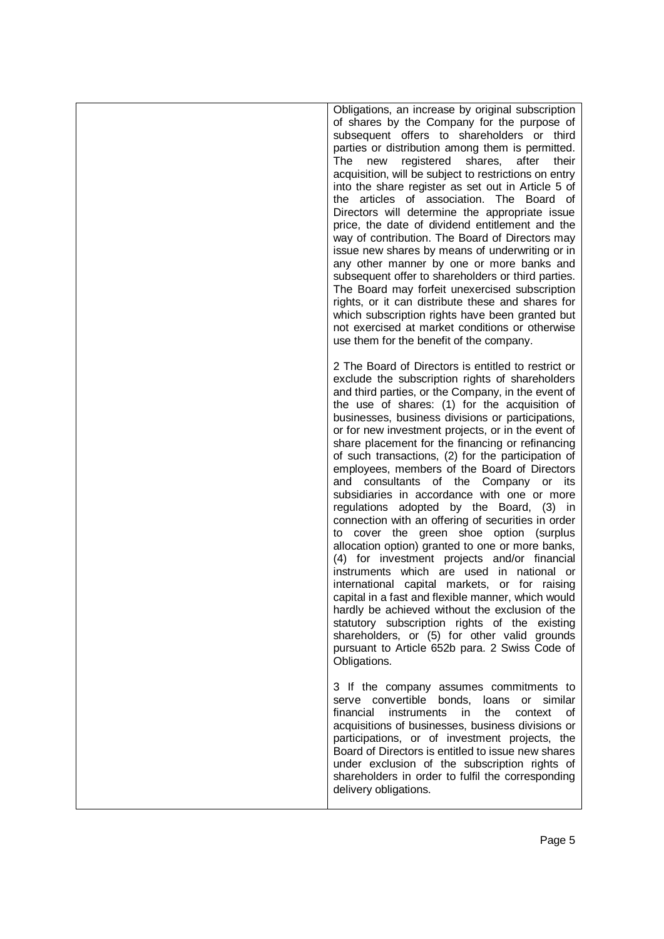| Obligations, an increase by original subscription<br>of shares by the Company for the purpose of<br>subsequent offers to shareholders or third<br>parties or distribution among them is permitted.<br>shares,<br>The<br>new<br>registered<br>after<br>their<br>acquisition, will be subject to restrictions on entry<br>into the share register as set out in Article 5 of<br>the articles of association. The Board of<br>Directors will determine the appropriate issue<br>price, the date of dividend entitlement and the<br>way of contribution. The Board of Directors may<br>issue new shares by means of underwriting or in<br>any other manner by one or more banks and<br>subsequent offer to shareholders or third parties.<br>The Board may forfeit unexercised subscription<br>rights, or it can distribute these and shares for<br>which subscription rights have been granted but<br>not exercised at market conditions or otherwise<br>use them for the benefit of the company.                                                                                                                                                                                                        |
|-------------------------------------------------------------------------------------------------------------------------------------------------------------------------------------------------------------------------------------------------------------------------------------------------------------------------------------------------------------------------------------------------------------------------------------------------------------------------------------------------------------------------------------------------------------------------------------------------------------------------------------------------------------------------------------------------------------------------------------------------------------------------------------------------------------------------------------------------------------------------------------------------------------------------------------------------------------------------------------------------------------------------------------------------------------------------------------------------------------------------------------------------------------------------------------------------------|
| 2 The Board of Directors is entitled to restrict or<br>exclude the subscription rights of shareholders<br>and third parties, or the Company, in the event of<br>the use of shares: (1) for the acquisition of<br>businesses, business divisions or participations,<br>or for new investment projects, or in the event of<br>share placement for the financing or refinancing<br>of such transactions, (2) for the participation of<br>employees, members of the Board of Directors<br>and consultants of the Company or its<br>subsidiaries in accordance with one or more<br>regulations adopted by the Board, (3) in<br>connection with an offering of securities in order<br>to cover the green shoe option (surplus<br>allocation option) granted to one or more banks,<br>(4) for investment projects and/or financial<br>instruments which are used in national or<br>international capital markets, or for raising<br>capital in a fast and flexible manner, which would<br>hardly be achieved without the exclusion of the<br>statutory subscription rights of the existing<br>shareholders, or (5) for other valid grounds<br>pursuant to Article 652b para. 2 Swiss Code of<br>Obligations. |
| 3 If the company assumes commitments to<br>serve convertible<br>bonds,<br>similar<br>loans or<br>financial<br>instruments<br>the<br>context<br>in.<br>οf<br>acquisitions of businesses, business divisions or<br>participations, or of investment projects, the<br>Board of Directors is entitled to issue new shares<br>under exclusion of the subscription rights of<br>shareholders in order to fulfil the corresponding<br>delivery obligations.                                                                                                                                                                                                                                                                                                                                                                                                                                                                                                                                                                                                                                                                                                                                                  |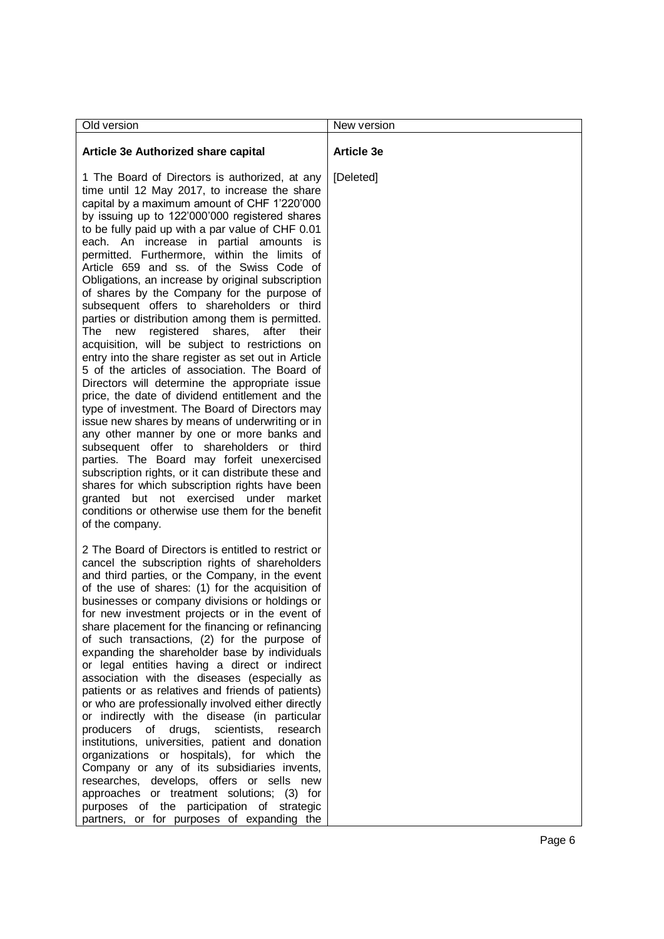| Old version                                                                                                                                                                                                                                                                                                                                                                                                                                                                                                                                                                                                                                                                                                                                                                                                                                                                                                                                                                                                                                                                                                                                                                                                                                                                                                                                                                                      | New version       |
|--------------------------------------------------------------------------------------------------------------------------------------------------------------------------------------------------------------------------------------------------------------------------------------------------------------------------------------------------------------------------------------------------------------------------------------------------------------------------------------------------------------------------------------------------------------------------------------------------------------------------------------------------------------------------------------------------------------------------------------------------------------------------------------------------------------------------------------------------------------------------------------------------------------------------------------------------------------------------------------------------------------------------------------------------------------------------------------------------------------------------------------------------------------------------------------------------------------------------------------------------------------------------------------------------------------------------------------------------------------------------------------------------|-------------------|
| Article 3e Authorized share capital                                                                                                                                                                                                                                                                                                                                                                                                                                                                                                                                                                                                                                                                                                                                                                                                                                                                                                                                                                                                                                                                                                                                                                                                                                                                                                                                                              | <b>Article 3e</b> |
| 1 The Board of Directors is authorized, at any<br>time until 12 May 2017, to increase the share<br>capital by a maximum amount of CHF 1'220'000<br>by issuing up to 122'000'000 registered shares<br>to be fully paid up with a par value of CHF 0.01<br>each. An increase in partial amounts<br>permitted. Furthermore, within the limits of<br>Article 659 and ss. of the Swiss Code of<br>Obligations, an increase by original subscription<br>of shares by the Company for the purpose of<br>subsequent offers to shareholders or third<br>parties or distribution among them is permitted.<br>registered<br>The<br>shares,<br>after<br>new<br>their<br>acquisition, will be subject to restrictions on<br>entry into the share register as set out in Article<br>5 of the articles of association. The Board of<br>Directors will determine the appropriate issue<br>price, the date of dividend entitlement and the<br>type of investment. The Board of Directors may<br>issue new shares by means of underwriting or in<br>any other manner by one or more banks and<br>subsequent offer to shareholders or third<br>parties. The Board may forfeit unexercised<br>subscription rights, or it can distribute these and<br>shares for which subscription rights have been<br>granted but not exercised under market<br>conditions or otherwise use them for the benefit<br>of the company. | [Deleted]         |
| 2 The Board of Directors is entitled to restrict or<br>cancel the subscription rights of shareholders<br>and third parties, or the Company, in the event<br>of the use of shares: (1) for the acquisition of<br>businesses or company divisions or holdings or<br>for new investment projects or in the event of<br>share placement for the financing or refinancing<br>of such transactions, (2) for the purpose of<br>expanding the shareholder base by individuals<br>or legal entities having a direct or indirect<br>association with the diseases (especially as<br>patients or as relatives and friends of patients)<br>or who are professionally involved either directly<br>or indirectly with the disease (in particular<br>producers<br>of drugs,<br>scientists, research<br>institutions, universities, patient and donation<br>organizations or hospitals), for which the<br>Company or any of its subsidiaries invents,<br>researches, develops, offers or sells new<br>approaches or treatment solutions; (3) for<br>purposes of the participation of strategic<br>partners, or for purposes of expanding the                                                                                                                                                                                                                                                                     |                   |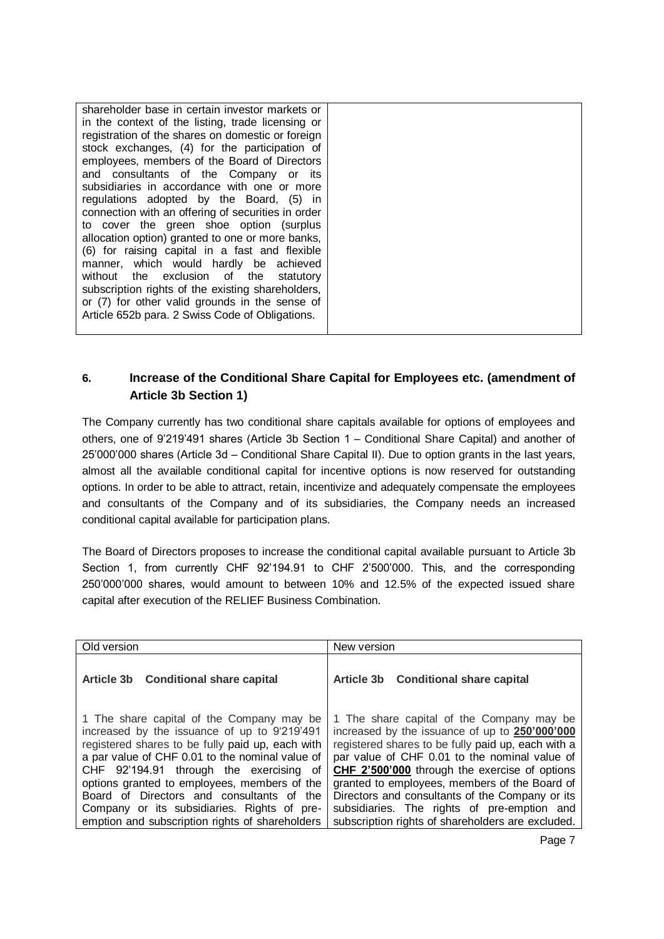# **6. Increase of the Conditional Share Capital for Employees etc. (amendment of Article 3b Section 1)**

The Company currently has two conditional share capitals available for options of employees and others, one of 9'219'491 shares (Article 3b Section 1 – Conditional Share Capital) and another of 25'000'000 shares (Article 3d – Conditional Share Capital II). Due to option grants in the last years, almost all the available conditional capital for incentive options is now reserved for outstanding options. In order to be able to attract, retain, incentivize and adequately compensate the employees and consultants of the Company and of its subsidiaries, the Company needs an increased conditional capital available for participation plans.

The Board of Directors proposes to increase the conditional capital available pursuant to Article 3b Section 1, from currently CHF 92'194.91 to CHF 2'500'000. This, and the corresponding 250'000'000 shares, would amount to between 10% and 12.5% of the expected issued share capital after execution of the RELIEF Business Combination.

| Old version                                                                                                                                                                                                                                                                                                                                                                                                                                | New version                                                                                                                                                                                                                                                                                                                                                                                                                                                 |
|--------------------------------------------------------------------------------------------------------------------------------------------------------------------------------------------------------------------------------------------------------------------------------------------------------------------------------------------------------------------------------------------------------------------------------------------|-------------------------------------------------------------------------------------------------------------------------------------------------------------------------------------------------------------------------------------------------------------------------------------------------------------------------------------------------------------------------------------------------------------------------------------------------------------|
| Article 3b Conditional share capital                                                                                                                                                                                                                                                                                                                                                                                                       | Article 3b Conditional share capital                                                                                                                                                                                                                                                                                                                                                                                                                        |
| 1 The share capital of the Company may be<br>increased by the issuance of up to 9'219'491<br>registered shares to be fully paid up, each with<br>a par value of CHF 0.01 to the nominal value of<br>CHF 92'194.91 through the exercising of<br>options granted to employees, members of the<br>Board of Directors and consultants of the<br>Company or its subsidiaries. Rights of pre-<br>emption and subscription rights of shareholders | 1 The share capital of the Company may be<br>increased by the issuance of up to 250'000'000<br>registered shares to be fully paid up, each with a<br>par value of CHF 0.01 to the nominal value of<br>CHF 2'500'000 through the exercise of options<br>granted to employees, members of the Board of<br>Directors and consultants of the Company or its<br>subsidiaries. The rights of pre-emption and<br>subscription rights of shareholders are excluded. |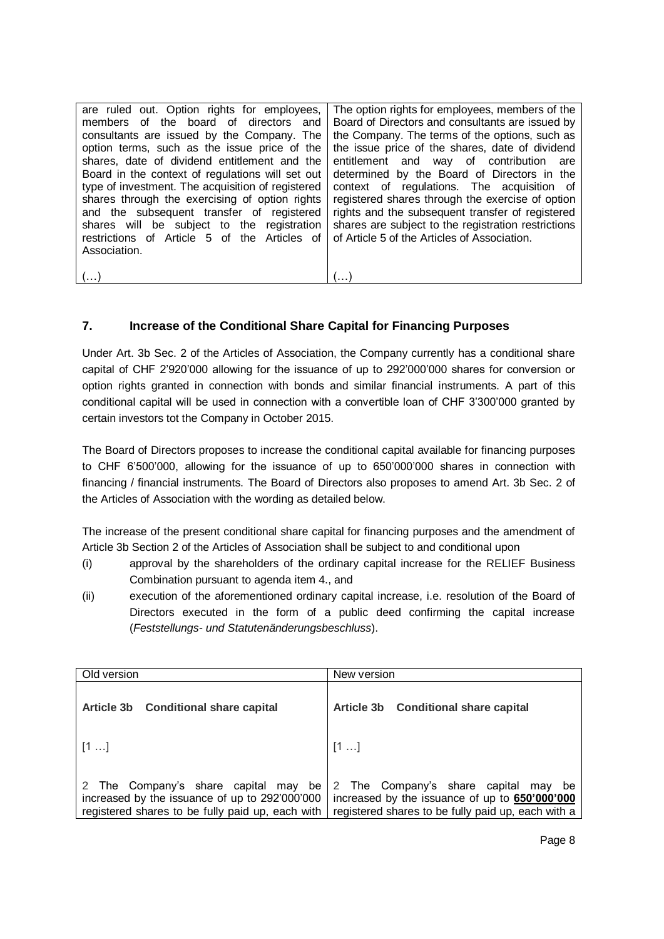| are ruled out. Option rights for employees,<br>members of the board of directors and<br>consultants are issued by the Company. The<br>option terms, such as the issue price of the<br>shares, date of dividend entitlement and the<br>Board in the context of regulations will set out<br>type of investment. The acquisition of registered<br>shares through the exercising of option rights<br>and the subsequent transfer of registered | The option rights for employees, members of the<br>Board of Directors and consultants are issued by<br>the Company. The terms of the options, such as<br>the issue price of the shares, date of dividend<br>entitlement and way of contribution are<br>determined by the Board of Directors in the<br>context of regulations. The acquisition of<br>registered shares through the exercise of option<br>rights and the subsequent transfer of registered |
|--------------------------------------------------------------------------------------------------------------------------------------------------------------------------------------------------------------------------------------------------------------------------------------------------------------------------------------------------------------------------------------------------------------------------------------------|----------------------------------------------------------------------------------------------------------------------------------------------------------------------------------------------------------------------------------------------------------------------------------------------------------------------------------------------------------------------------------------------------------------------------------------------------------|
| shares will be subject to the registration<br>restrictions of Article 5 of the Articles of<br>Association.                                                                                                                                                                                                                                                                                                                                 | shares are subject to the registration restrictions<br>of Article 5 of the Articles of Association.                                                                                                                                                                                                                                                                                                                                                      |
|                                                                                                                                                                                                                                                                                                                                                                                                                                            |                                                                                                                                                                                                                                                                                                                                                                                                                                                          |

### **7. Increase of the Conditional Share Capital for Financing Purposes**

Under Art. 3b Sec. 2 of the Articles of Association, the Company currently has a conditional share capital of CHF 2'920'000 allowing for the issuance of up to 292'000'000 shares for conversion or option rights granted in connection with bonds and similar financial instruments. A part of this conditional capital will be used in connection with a convertible loan of CHF 3'300'000 granted by certain investors tot the Company in October 2015.

The Board of Directors proposes to increase the conditional capital available for financing purposes to CHF 6'500'000, allowing for the issuance of up to 650'000'000 shares in connection with financing / financial instruments. The Board of Directors also proposes to amend Art. 3b Sec. 2 of the Articles of Association with the wording as detailed below.

The increase of the present conditional share capital for financing purposes and the amendment of Article 3b Section 2 of the Articles of Association shall be subject to and conditional upon

- (i) approval by the shareholders of the ordinary capital increase for the RELIEF Business Combination pursuant to agenda item 4., and
- (ii) execution of the aforementioned ordinary capital increase, i.e. resolution of the Board of Directors executed in the form of a public deed confirming the capital increase (*Feststellungs- und Statutenänderungsbeschluss*).

| Old version                                                                                                                                   | New version                                                                                                                                        |
|-----------------------------------------------------------------------------------------------------------------------------------------------|----------------------------------------------------------------------------------------------------------------------------------------------------|
| Article 3b Conditional share capital                                                                                                          | Article 3b Conditional share capital                                                                                                               |
| $[1 \dots]$                                                                                                                                   | $[1 \dots]$                                                                                                                                        |
| 2 The Company's share capital<br>may be<br>increased by the issuance of up to 292'000'000<br>registered shares to be fully paid up, each with | 2 The Company's share capital<br>be<br>mav<br>increased by the issuance of up to 650'000'000<br>registered shares to be fully paid up, each with a |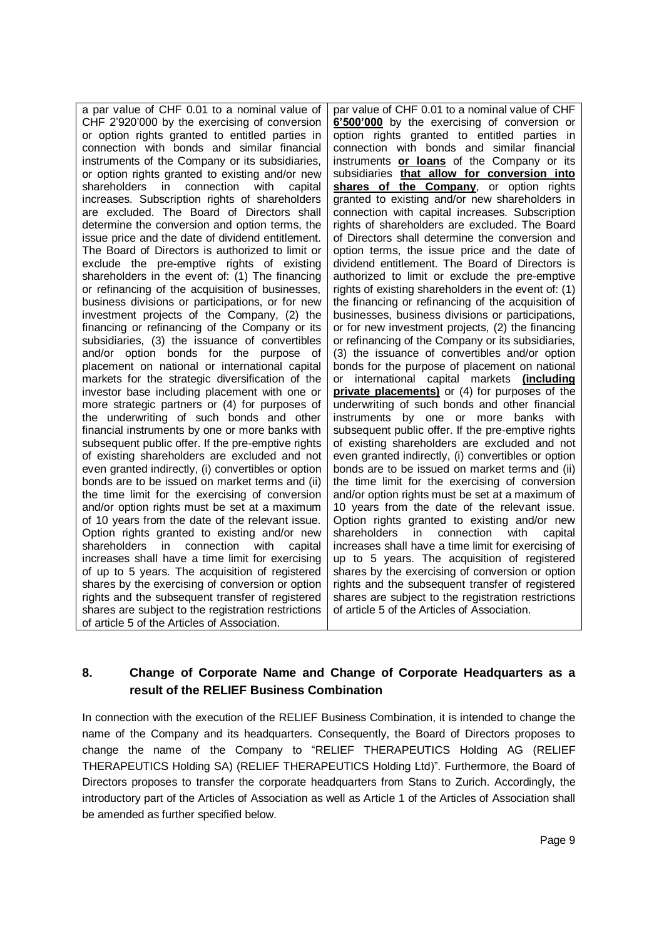a par value of CHF 0.01 to a nominal value of CHF 2'920'000 by the exercising of conversion or option rights granted to entitled parties in connection with bonds and similar financial instruments of the Company or its subsidiaries, or option rights granted to existing and/or new shareholders in connection with capital increases. Subscription rights of shareholders are excluded. The Board of Directors shall determine the conversion and option terms, the issue price and the date of dividend entitlement. The Board of Directors is authorized to limit or exclude the pre-emptive rights of existing shareholders in the event of: (1) The financing or refinancing of the acquisition of businesses, business divisions or participations, or for new investment projects of the Company, (2) the financing or refinancing of the Company or its subsidiaries, (3) the issuance of convertibles and/or option bonds for the purpose of placement on national or international capital markets for the strategic diversification of the investor base including placement with one or more strategic partners or (4) for purposes of the underwriting of such bonds and other financial instruments by one or more banks with subsequent public offer. If the pre-emptive rights of existing shareholders are excluded and not even granted indirectly, (i) convertibles or option bonds are to be issued on market terms and (ii) the time limit for the exercising of conversion and/or option rights must be set at a maximum of 10 years from the date of the relevant issue. Option rights granted to existing and/or new shareholders in connection with capital increases shall have a time limit for exercising of up to 5 years. The acquisition of registered shares by the exercising of conversion or option rights and the subsequent transfer of registered shares are subject to the registration restrictions of article 5 of the Articles of Association.

par value of CHF 0.01 to a nominal value of CHF **6'500'000** by the exercising of conversion or option rights granted to entitled parties in connection with bonds and similar financial instruments **or loans** of the Company or its subsidiaries **that allow for conversion into**  shares of the Company, or option rights granted to existing and/or new shareholders in connection with capital increases. Subscription rights of shareholders are excluded. The Board of Directors shall determine the conversion and option terms, the issue price and the date of dividend entitlement. The Board of Directors is authorized to limit or exclude the pre-emptive rights of existing shareholders in the event of: (1) the financing or refinancing of the acquisition of businesses, business divisions or participations, or for new investment projects, (2) the financing or refinancing of the Company or its subsidiaries, (3) the issuance of convertibles and/or option bonds for the purpose of placement on national or international capital markets **(including private placements)** or (4) for purposes of the underwriting of such bonds and other financial instruments by one or more banks with subsequent public offer. If the pre-emptive rights of existing shareholders are excluded and not even granted indirectly, (i) convertibles or option bonds are to be issued on market terms and (ii) the time limit for the exercising of conversion and/or option rights must be set at a maximum of 10 years from the date of the relevant issue. Option rights granted to existing and/or new<br>shareholders in connection with canital shareholders in connection with increases shall have a time limit for exercising of up to 5 years. The acquisition of registered shares by the exercising of conversion or option rights and the subsequent transfer of registered shares are subject to the registration restrictions of article 5 of the Articles of Association.

# **8. Change of Corporate Name and Change of Corporate Headquarters as a result of the RELIEF Business Combination**

In connection with the execution of the RELIEF Business Combination, it is intended to change the name of the Company and its headquarters. Consequently, the Board of Directors proposes to change the name of the Company to "RELIEF THERAPEUTICS Holding AG (RELIEF THERAPEUTICS Holding SA) (RELIEF THERAPEUTICS Holding Ltd)". Furthermore, the Board of Directors proposes to transfer the corporate headquarters from Stans to Zurich. Accordingly, the introductory part of the Articles of Association as well as Article 1 of the Articles of Association shall be amended as further specified below.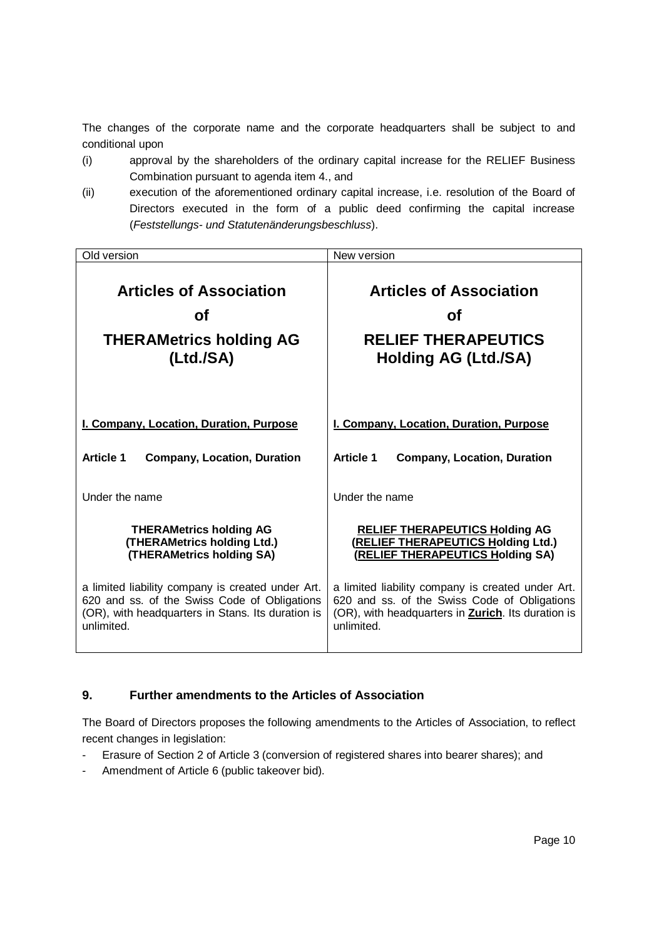The changes of the corporate name and the corporate headquarters shall be subject to and conditional upon

- (i) approval by the shareholders of the ordinary capital increase for the RELIEF Business Combination pursuant to agenda item 4., and
- (ii) execution of the aforementioned ordinary capital increase, i.e. resolution of the Board of Directors executed in the form of a public deed confirming the capital increase (*Feststellungs- und Statutenänderungsbeschluss*).

| Old version                                       | New version                                                |
|---------------------------------------------------|------------------------------------------------------------|
| <b>Articles of Association</b>                    | <b>Articles of Association</b>                             |
| Οf                                                | Οf                                                         |
| <b>THERAMetrics holding AG</b>                    | <b>RELIEF THERAPEUTICS</b>                                 |
| (Ltd./SA)                                         | <b>Holding AG (Ltd./SA)</b>                                |
| I. Company, Location, Duration, Purpose           | I. Company, Location, Duration, Purpose                    |
| <b>Article 1</b>                                  | <b>Article 1</b>                                           |
| <b>Company, Location, Duration</b>                | <b>Company, Location, Duration</b>                         |
| Under the name                                    | Under the name                                             |
| <b>THERAMetrics holding AG</b>                    | <b>RELIEF THERAPEUTICS Holding AG</b>                      |
| (THERAMetrics holding Ltd.)                       | (RELIEF THERAPEUTICS Holding Ltd.)                         |
| (THERAMetrics holding SA)                         | (RELIEF THERAPEUTICS Holding SA)                           |
| a limited liability company is created under Art. | a limited liability company is created under Art.          |
| 620 and ss. of the Swiss Code of Obligations      | 620 and ss. of the Swiss Code of Obligations               |
| (OR), with headquarters in Stans. Its duration is | (OR), with headquarters in <b>Zurich</b> . Its duration is |
| unlimited.                                        | unlimited.                                                 |

#### **9. Further amendments to the Articles of Association**

The Board of Directors proposes the following amendments to the Articles of Association, to reflect recent changes in legislation:

- Erasure of Section 2 of Article 3 (conversion of registered shares into bearer shares); and
- Amendment of Article 6 (public takeover bid).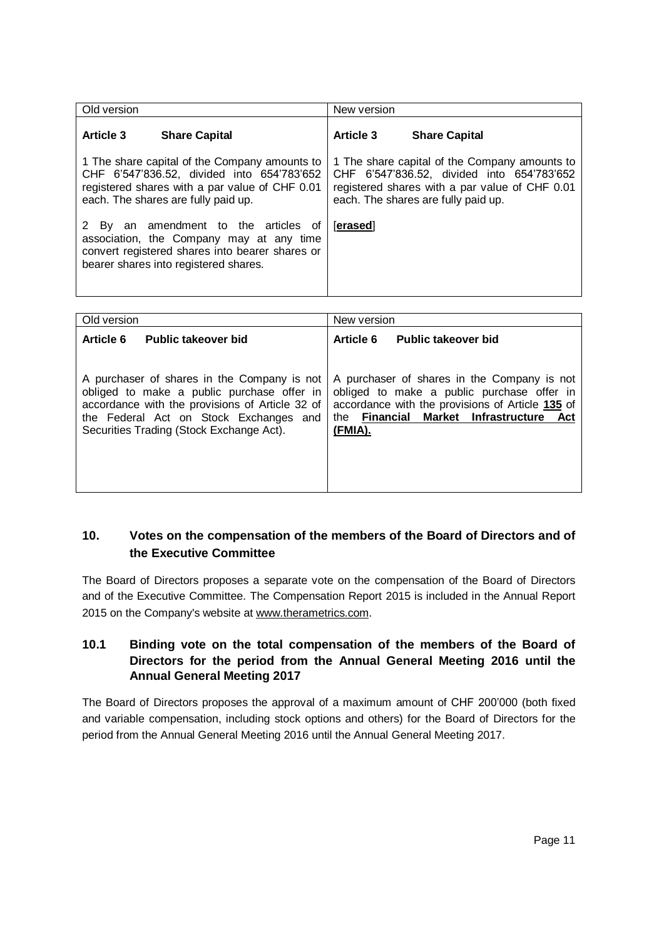| Old version                                                                                                                                                                | New version                                    |
|----------------------------------------------------------------------------------------------------------------------------------------------------------------------------|------------------------------------------------|
| <b>Article 3</b>                                                                                                                                                           | <b>Article 3</b>                               |
| <b>Share Capital</b>                                                                                                                                                       | <b>Share Capital</b>                           |
| 1 The share capital of the Company amounts to                                                                                                                              | 1 The share capital of the Company amounts to  |
| CHF 6'547'836.52, divided into 654'783'652                                                                                                                                 | CHF 6'547'836.52, divided into 654'783'652     |
| registered shares with a par value of CHF 0.01                                                                                                                             | registered shares with a par value of CHF 0.01 |
| each. The shares are fully paid up.                                                                                                                                        | each. The shares are fully paid up.            |
| By an amendment to the articles of<br>association, the Company may at any time<br>convert registered shares into bearer shares or<br>bearer shares into registered shares. | [erased]                                       |

| Old version                                                                                                                                                                                                                        | New version                                                                                                                                                                                            |
|------------------------------------------------------------------------------------------------------------------------------------------------------------------------------------------------------------------------------------|--------------------------------------------------------------------------------------------------------------------------------------------------------------------------------------------------------|
| Article 6<br><b>Public takeover bid</b>                                                                                                                                                                                            | <b>Article 6</b><br><b>Public takeover bid</b>                                                                                                                                                         |
| A purchaser of shares in the Company is not<br>obliged to make a public purchase offer in<br>accordance with the provisions of Article 32 of<br>the Federal Act on Stock Exchanges and<br>Securities Trading (Stock Exchange Act). | A purchaser of shares in the Company is not<br>obliged to make a public purchase offer in<br>accordance with the provisions of Article 135 of<br>Financial Market Infrastructure Act<br>the<br>(FMIA). |

### **10. Votes on the compensation of the members of the Board of Directors and of the Executive Committee**

The Board of Directors proposes a separate vote on the compensation of the Board of Directors and of the Executive Committee. The Compensation Report 2015 is included in the Annual Report 2015 on the Company's website at www.therametrics.com.

### **10.1 Binding vote on the total compensation of the members of the Board of Directors for the period from the Annual General Meeting 2016 until the Annual General Meeting 2017**

The Board of Directors proposes the approval of a maximum amount of CHF 200'000 (both fixed and variable compensation, including stock options and others) for the Board of Directors for the period from the Annual General Meeting 2016 until the Annual General Meeting 2017.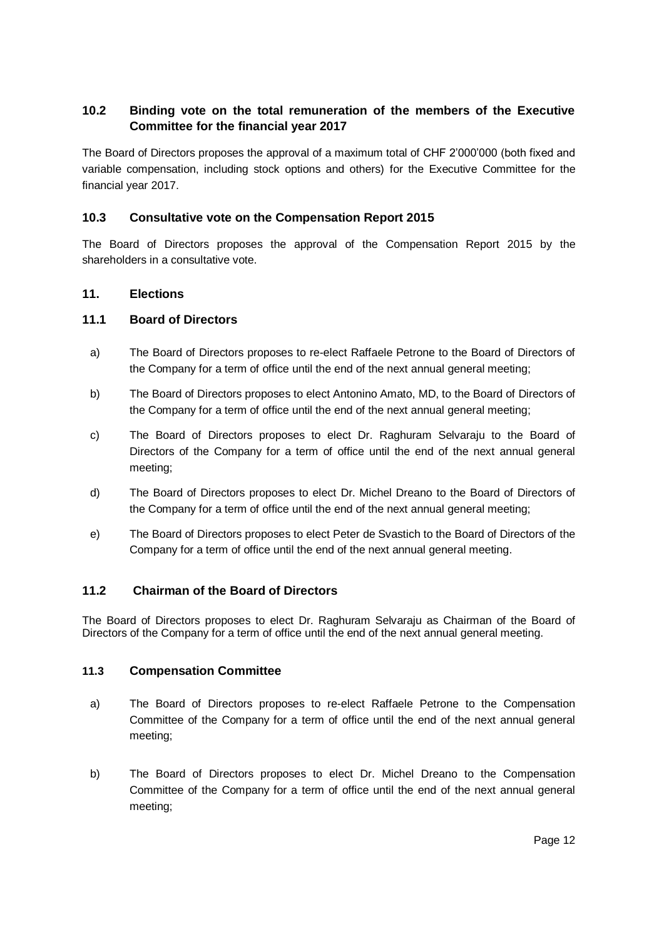### **10.2 Binding vote on the total remuneration of the members of the Executive Committee for the financial year 2017**

The Board of Directors proposes the approval of a maximum total of CHF 2'000'000 (both fixed and variable compensation, including stock options and others) for the Executive Committee for the financial year 2017.

### **10.3 Consultative vote on the Compensation Report 2015**

The Board of Directors proposes the approval of the Compensation Report 2015 by the shareholders in a consultative vote.

#### **11. Elections**

#### **11.1 Board of Directors**

- a) The Board of Directors proposes to re-elect Raffaele Petrone to the Board of Directors of the Company for a term of office until the end of the next annual general meeting;
- b) The Board of Directors proposes to elect Antonino Amato, MD, to the Board of Directors of the Company for a term of office until the end of the next annual general meeting;
- c) The Board of Directors proposes to elect Dr. Raghuram Selvaraju to the Board of Directors of the Company for a term of office until the end of the next annual general meeting;
- d) The Board of Directors proposes to elect Dr. Michel Dreano to the Board of Directors of the Company for a term of office until the end of the next annual general meeting;
- e) The Board of Directors proposes to elect Peter de Svastich to the Board of Directors of the Company for a term of office until the end of the next annual general meeting.

#### **11.2 Chairman of the Board of Directors**

The Board of Directors proposes to elect Dr. Raghuram Selvaraju as Chairman of the Board of Directors of the Company for a term of office until the end of the next annual general meeting.

#### **11.3 Compensation Committee**

- a) The Board of Directors proposes to re-elect Raffaele Petrone to the Compensation Committee of the Company for a term of office until the end of the next annual general meeting;
- b) The Board of Directors proposes to elect Dr. Michel Dreano to the Compensation Committee of the Company for a term of office until the end of the next annual general meeting;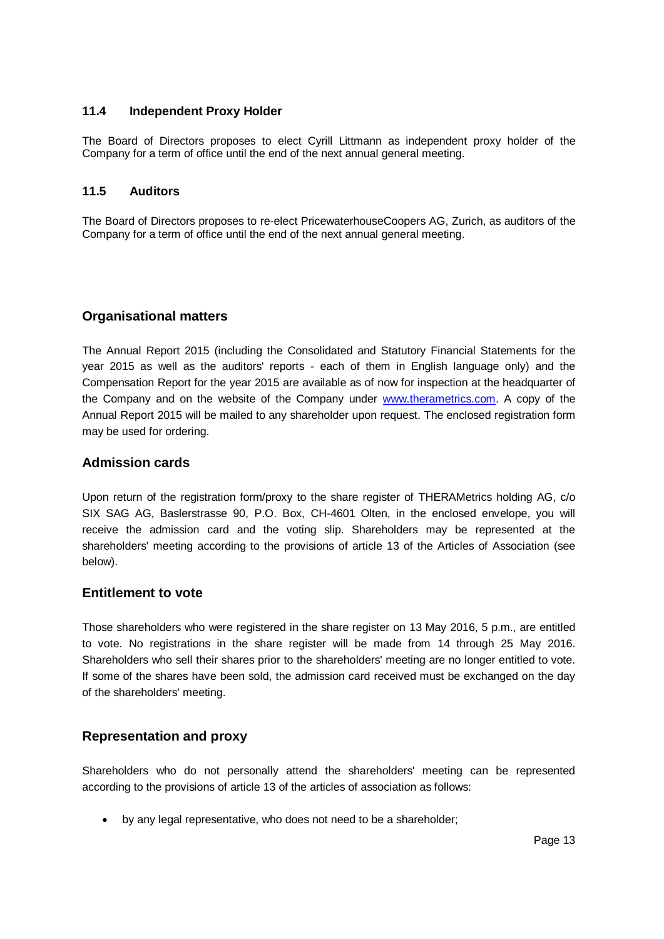#### **11.4 Independent Proxy Holder**

The Board of Directors proposes to elect Cyrill Littmann as independent proxy holder of the Company for a term of office until the end of the next annual general meeting.

#### **11.5 Auditors**

The Board of Directors proposes to re-elect PricewaterhouseCoopers AG, Zurich, as auditors of the Company for a term of office until the end of the next annual general meeting.

### **Organisational matters**

The Annual Report 2015 (including the Consolidated and Statutory Financial Statements for the year 2015 as well as the auditors' reports - each of them in English language only) and the Compensation Report for the year 2015 are available as of now for inspection at the headquarter of the Company and on the website of the Company under [www.therametrics.com.](http://www.therametrics.com/) A copy of the Annual Report 2015 will be mailed to any shareholder upon request. The enclosed registration form may be used for ordering.

### **Admission cards**

Upon return of the registration form/proxy to the share register of THERAMetrics holding AG, c/o SIX SAG AG, Baslerstrasse 90, P.O. Box, CH-4601 Olten, in the enclosed envelope, you will receive the admission card and the voting slip. Shareholders may be represented at the shareholders' meeting according to the provisions of article 13 of the Articles of Association (see below).

#### **Entitlement to vote**

Those shareholders who were registered in the share register on 13 May 2016, 5 p.m., are entitled to vote. No registrations in the share register will be made from 14 through 25 May 2016. Shareholders who sell their shares prior to the shareholders' meeting are no longer entitled to vote. If some of the shares have been sold, the admission card received must be exchanged on the day of the shareholders' meeting.

### **Representation and proxy**

Shareholders who do not personally attend the shareholders' meeting can be represented according to the provisions of article 13 of the articles of association as follows:

by any legal representative, who does not need to be a shareholder;